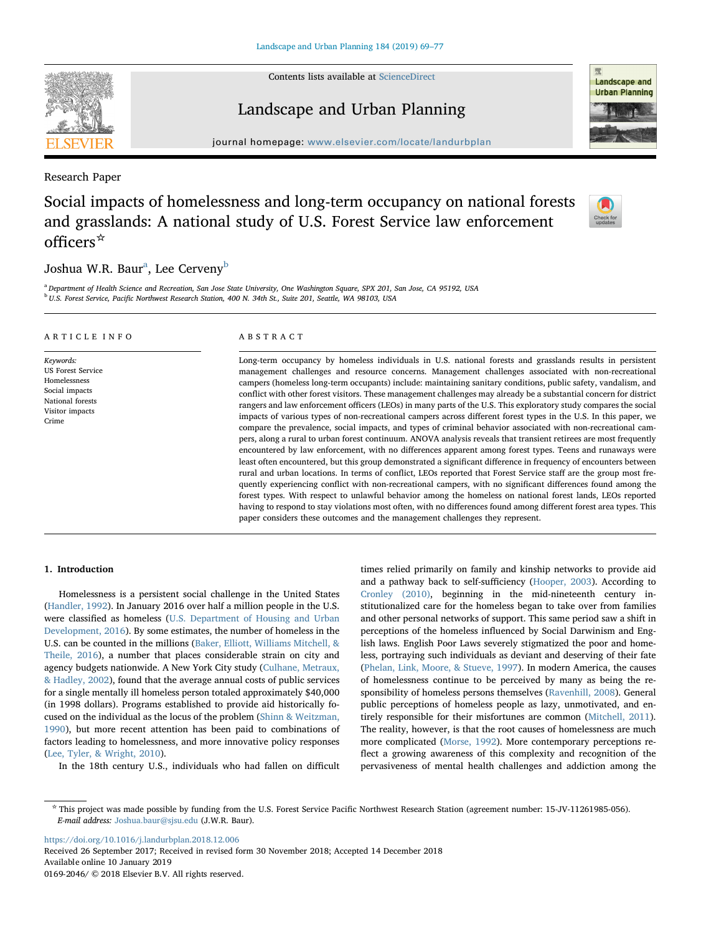Contents lists available at [ScienceDirect](http://www.sciencedirect.com/science/journal/01692046)



# Landscape and Urban Planning



journal homepage: [www.elsevier.com/locate/landurbplan](https://www.elsevier.com/locate/landurbplan)

Research Paper

# Social impacts of homelessness and long-term occupancy on national forests and grasslands: A national study of U.S. Forest Service law enforcement officers☆



# Joshu[a](#page-0-0) W.R. Baur<sup>a</sup>, Lee Cerveny<sup>[b](#page-0-1)</sup>

<span id="page-0-1"></span><span id="page-0-0"></span>a Department of Health Science and Recreation, San Jose State University, One Washington Square, SPX 201, San Jose, CA 95192, USA <sup>b</sup> U.S. Forest Service, Pacific Northwest Research Station, 400 N. 34th St., Suite 201, Seattle, WA 98103, USA

| ARTICLE INFO                                                                                                            | ABSTRACT                                                                                                                                                                                                                                                                                                                                                                                                                                                                                                                                                                                                                                                                                                                                                                                                                                                                                                                                                                                                                                                                                                                                                                                                                                                                                                                                                                                                                                                                                                                                                                                                                                      |
|-------------------------------------------------------------------------------------------------------------------------|-----------------------------------------------------------------------------------------------------------------------------------------------------------------------------------------------------------------------------------------------------------------------------------------------------------------------------------------------------------------------------------------------------------------------------------------------------------------------------------------------------------------------------------------------------------------------------------------------------------------------------------------------------------------------------------------------------------------------------------------------------------------------------------------------------------------------------------------------------------------------------------------------------------------------------------------------------------------------------------------------------------------------------------------------------------------------------------------------------------------------------------------------------------------------------------------------------------------------------------------------------------------------------------------------------------------------------------------------------------------------------------------------------------------------------------------------------------------------------------------------------------------------------------------------------------------------------------------------------------------------------------------------|
| Keywords:<br><b>US Forest Service</b><br>Homelessness<br>Social impacts<br>National forests<br>Visitor impacts<br>Crime | Long-term occupancy by homeless individuals in U.S. national forests and grasslands results in persistent<br>management challenges and resource concerns. Management challenges associated with non-recreational<br>campers (homeless long-term occupants) include: maintaining sanitary conditions, public safety, vandalism, and<br>conflict with other forest visitors. These management challenges may already be a substantial concern for district<br>rangers and law enforcement officers (LEOs) in many parts of the U.S. This exploratory study compares the social<br>impacts of various types of non-recreational campers across different forest types in the U.S. In this paper, we<br>compare the prevalence, social impacts, and types of criminal behavior associated with non-recreational cam-<br>pers, along a rural to urban forest continuum. ANOVA analysis reveals that transient retirees are most frequently<br>encountered by law enforcement, with no differences apparent among forest types. Teens and runaways were<br>least often encountered, but this group demonstrated a significant difference in frequency of encounters between<br>rural and urban locations. In terms of conflict, LEOs reported that Forest Service staff are the group most fre-<br>quently experiencing conflict with non-recreational campers, with no significant differences found among the<br>forest types. With respect to unlawful behavior among the homeless on national forest lands, LEOs reported<br>having to respond to stay violations most often, with no differences found among different forest area types. This |

paper considers these outcomes and the management challenges they represent.

## 1. Introduction

Homelessness is a persistent social challenge in the United States ([Handler, 1992](#page-8-0)). In January 2016 over half a million people in the U.S. were classified as homeless ([U.S. Department of Housing and Urban](#page-8-1) [Development, 2016\)](#page-8-1). By some estimates, the number of homeless in the U.S. can be counted in the millions ([Baker, Elliott, Williams Mitchell, &](#page-7-0) [Theile, 2016](#page-7-0)), a number that places considerable strain on city and agency budgets nationwide. A New York City study ([Culhane, Metraux,](#page-7-1) [& Hadley, 2002\)](#page-7-1), found that the average annual costs of public services for a single mentally ill homeless person totaled approximately \$40,000 (in 1998 dollars). Programs established to provide aid historically focused on the individual as the locus of the problem [\(Shinn & Weitzman,](#page-8-2) [1990\)](#page-8-2), but more recent attention has been paid to combinations of factors leading to homelessness, and more innovative policy responses ([Lee, Tyler, & Wright, 2010](#page-8-3)).

In the 18th century U.S., individuals who had fallen on difficult

times relied primarily on family and kinship networks to provide aid and a pathway back to self-sufficiency [\(Hooper, 2003\)](#page-8-4). According to [Cronley \(2010\),](#page-7-2) beginning in the mid-nineteenth century institutionalized care for the homeless began to take over from families and other personal networks of support. This same period saw a shift in perceptions of the homeless influenced by Social Darwinism and English laws. English Poor Laws severely stigmatized the poor and homeless, portraying such individuals as deviant and deserving of their fate ([Phelan, Link, Moore, & Stueve, 1997](#page-8-5)). In modern America, the causes of homelessness continue to be perceived by many as being the responsibility of homeless persons themselves ([Ravenhill, 2008\)](#page-8-6). General public perceptions of homeless people as lazy, unmotivated, and entirely responsible for their misfortunes are common [\(Mitchell, 2011](#page-8-7)). The reality, however, is that the root causes of homelessness are much more complicated ([Morse, 1992\)](#page-8-8). More contemporary perceptions reflect a growing awareness of this complexity and recognition of the pervasiveness of mental health challenges and addiction among the

<https://doi.org/10.1016/j.landurbplan.2018.12.006>

Received 26 September 2017; Received in revised form 30 November 2018; Accepted 14 December 2018 Available online 10 January 2019 0169-2046/ © 2018 Elsevier B.V. All rights reserved.

<sup>☆</sup> This project was made possible by funding from the U.S. Forest Service Pacific Northwest Research Station (agreement number: 15-JV-11261985-056). E-mail address: [Joshua.baur@sjsu.edu](mailto:Joshua.baur@sjsu.edu) (J.W.R. Baur).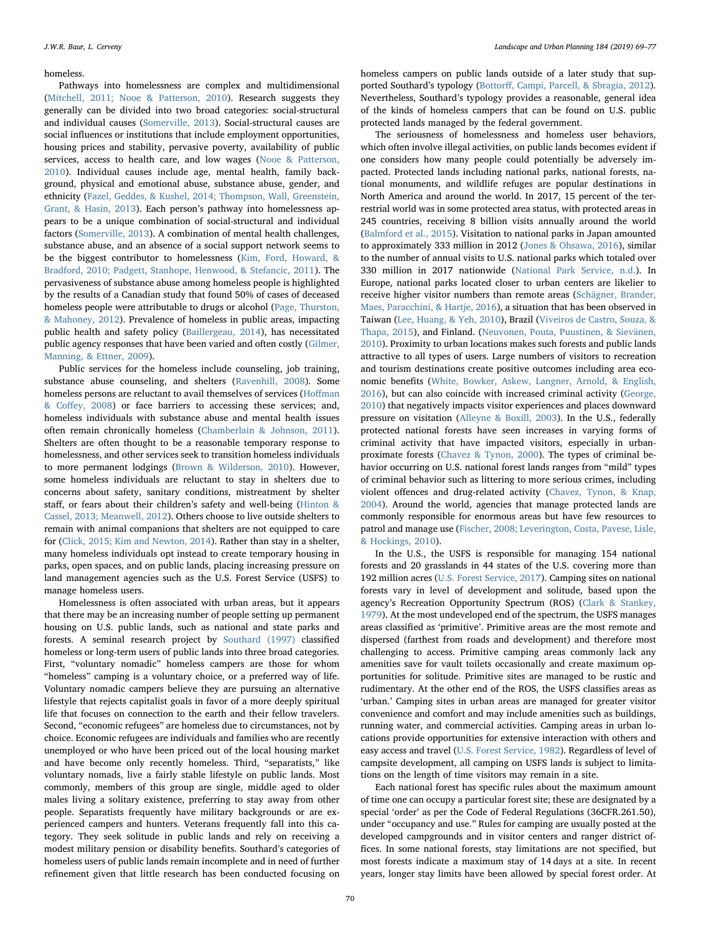#### homeless.

Pathways into homelessness are complex and multidimensional ([Mitchell, 2011; Nooe & Patterson, 2010](#page-8-7)). Research suggests they generally can be divided into two broad categories: social-structural and individual causes ([Somerville, 2013\)](#page-8-9). Social-structural causes are social influences or institutions that include employment opportunities, housing prices and stability, pervasive poverty, availability of public services, access to health care, and low wages ([Nooe & Patterson,](#page-8-10) [2010\)](#page-8-10). Individual causes include age, mental health, family background, physical and emotional abuse, substance abuse, gender, and ethnicity [\(Fazel, Geddes, & Kushel, 2014; Thompson, Wall, Greenstein,](#page-7-3) [Grant, & Hasin, 2013\)](#page-7-3). Each person's pathway into homelessness appears to be a unique combination of social-structural and individual factors ([Somerville, 2013\)](#page-8-9). A combination of mental health challenges, substance abuse, and an absence of a social support network seems to be the biggest contributor to homelessness ([Kim, Ford, Howard, &](#page-8-11) [Bradford, 2010; Padgett, Stanhope, Henwood, & Stefancic, 2011](#page-8-11)). The pervasiveness of substance abuse among homeless people is highlighted by the results of a Canadian study that found 50% of cases of deceased homeless people were attributable to drugs or alcohol [\(Page, Thurston,](#page-8-12) [& Mahoney, 2012\)](#page-8-12). Prevalence of homeless in public areas, impacting public health and safety policy [\(Baillergeau, 2014\)](#page-7-4), has necessitated public agency responses that have been varied and often costly [\(Gilmer,](#page-8-13) [Manning, & Ettner, 2009](#page-8-13)).

Public services for the homeless include counseling, job training, substance abuse counseling, and shelters [\(Ravenhill, 2008](#page-8-6)). Some homeless persons are reluctant to avail themselves of services (Hoff[man](#page-8-14) & Coff[ey, 2008](#page-8-14)) or face barriers to accessing these services; and, homeless individuals with substance abuse and mental health issues often remain chronically homeless [\(Chamberlain & Johnson, 2011](#page-7-5)). Shelters are often thought to be a reasonable temporary response to homelessness, and other services seek to transition homeless individuals to more permanent lodgings [\(Brown & Wilderson, 2010\)](#page-7-6). However, some homeless individuals are reluctant to stay in shelters due to concerns about safety, sanitary conditions, mistreatment by shelter staff, or fears about their children's safety and well-being [\(Hinton &](#page-8-15) [Cassel, 2013; Meanwell, 2012](#page-8-15)). Others choose to live outside shelters to remain with animal companions that shelters are not equipped to care for ([Click, 2015; Kim and Newton, 2014](#page-7-7)). Rather than stay in a shelter, many homeless individuals opt instead to create temporary housing in parks, open spaces, and on public lands, placing increasing pressure on land management agencies such as the U.S. Forest Service (USFS) to manage homeless users.

Homelessness is often associated with urban areas, but it appears that there may be an increasing number of people setting up permanent housing on U.S. public lands, such as national and state parks and forests. A seminal research project by [Southard \(1997\)](#page-8-16) classified homeless or long-term users of public lands into three broad categories. First, "voluntary nomadic" homeless campers are those for whom "homeless" camping is a voluntary choice, or a preferred way of life. Voluntary nomadic campers believe they are pursuing an alternative lifestyle that rejects capitalist goals in favor of a more deeply spiritual life that focuses on connection to the earth and their fellow travelers. Second, "economic refugees" are homeless due to circumstances, not by choice. Economic refugees are individuals and families who are recently unemployed or who have been priced out of the local housing market and have become only recently homeless. Third, "separatists," like voluntary nomads, live a fairly stable lifestyle on public lands. Most commonly, members of this group are single, middle aged to older males living a solitary existence, preferring to stay away from other people. Separatists frequently have military backgrounds or are experienced campers and hunters. Veterans frequently fall into this category. They seek solitude in public lands and rely on receiving a modest military pension or disability benefits. Southard's categories of homeless users of public lands remain incomplete and in need of further refinement given that little research has been conducted focusing on homeless campers on public lands outside of a later study that supported Southard's typology (Bottorff[, Campi, Parcell, & Sbragia, 2012](#page-7-8)). Nevertheless, Southard's typology provides a reasonable, general idea of the kinds of homeless campers that can be found on U.S. public protected lands managed by the federal government.

The seriousness of homelessness and homeless user behaviors, which often involve illegal activities, on public lands becomes evident if one considers how many people could potentially be adversely impacted. Protected lands including national parks, national forests, national monuments, and wildlife refuges are popular destinations in North America and around the world. In 2017, 15 percent of the terrestrial world was in some protected area status, with protected areas in 245 countries, receiving 8 billion visits annually around the world ([Balmford et al., 2015](#page-7-9)). Visitation to national parks in Japan amounted to approximately 333 million in 2012 [\(Jones & Ohsawa, 2016\)](#page-8-17), similar to the number of annual visits to U.S. national parks which totaled over 330 million in 2017 nationwide ([National Park Service, n.d.](#page-8-18)). In Europe, national parks located closer to urban centers are likelier to receive higher visitor numbers than remote areas ([Schägner, Brander,](#page-8-19) [Maes, Paracchini, & Hartje, 2016](#page-8-19)), a situation that has been observed in Taiwan ([Lee, Huang, & Yeh, 2010](#page-8-20)), Brazil [\(Viveiros de Castro, Souza, &](#page-8-21) [Thapa, 2015](#page-8-21)), and Finland. ([Neuvonen, Pouta, Puustinen, & Sievänen,](#page-8-22) [2010\)](#page-8-22). Proximity to urban locations makes such forests and public lands attractive to all types of users. Large numbers of visitors to recreation and tourism destinations create positive outcomes including area economic benefits ([White, Bowker, Askew, Langner, Arnold, & English,](#page-8-23) [2016\)](#page-8-23), but can also coincide with increased criminal activity [\(George,](#page-8-24) [2010\)](#page-8-24) that negatively impacts visitor experiences and places downward pressure on visitation ([Alleyne & Boxill, 2003](#page-7-10)). In the U.S., federally protected national forests have seen increases in varying forms of criminal activity that have impacted visitors, especially in urbanproximate forests ([Chavez & Tynon, 2000\)](#page-7-11). The types of criminal behavior occurring on U.S. national forest lands ranges from "mild" types of criminal behavior such as littering to more serious crimes, including violent offences and drug-related activity ([Chavez, Tynon, & Knap,](#page-7-12) [2004\)](#page-7-12). Around the world, agencies that manage protected lands are commonly responsible for enormous areas but have few resources to patrol and manage use [\(Fischer, 2008; Leverington, Costa, Pavese, Lisle,](#page-7-13) [& Hockings, 2010](#page-7-13)).

In the U.S., the USFS is responsible for managing 154 national forests and 20 grasslands in 44 states of the U.S. covering more than 192 million acres [\(U.S. Forest Service, 2017\)](#page-8-25). Camping sites on national forests vary in level of development and solitude, based upon the agency's Recreation Opportunity Spectrum (ROS) [\(Clark & Stankey,](#page-7-14) [1979\)](#page-7-14). At the most undeveloped end of the spectrum, the USFS manages areas classified as 'primitive'. Primitive areas are the most remote and dispersed (farthest from roads and development) and therefore most challenging to access. Primitive camping areas commonly lack any amenities save for vault toilets occasionally and create maximum opportunities for solitude. Primitive sites are managed to be rustic and rudimentary. At the other end of the ROS, the USFS classifies areas as 'urban.' Camping sites in urban areas are managed for greater visitor convenience and comfort and may include amenities such as buildings, running water, and commercial activities. Camping areas in urban locations provide opportunities for extensive interaction with others and easy access and travel [\(U.S. Forest Service, 1982\)](#page-8-26). Regardless of level of campsite development, all camping on USFS lands is subject to limitations on the length of time visitors may remain in a site.

Each national forest has specific rules about the maximum amount of time one can occupy a particular forest site; these are designated by a special 'order' as per the Code of Federal Regulations (36CFR.261.50), under "occupancy and use." Rules for camping are usually posted at the developed campgrounds and in visitor centers and ranger district offices. In some national forests, stay limitations are not specified, but most forests indicate a maximum stay of 14 days at a site. In recent years, longer stay limits have been allowed by special forest order. At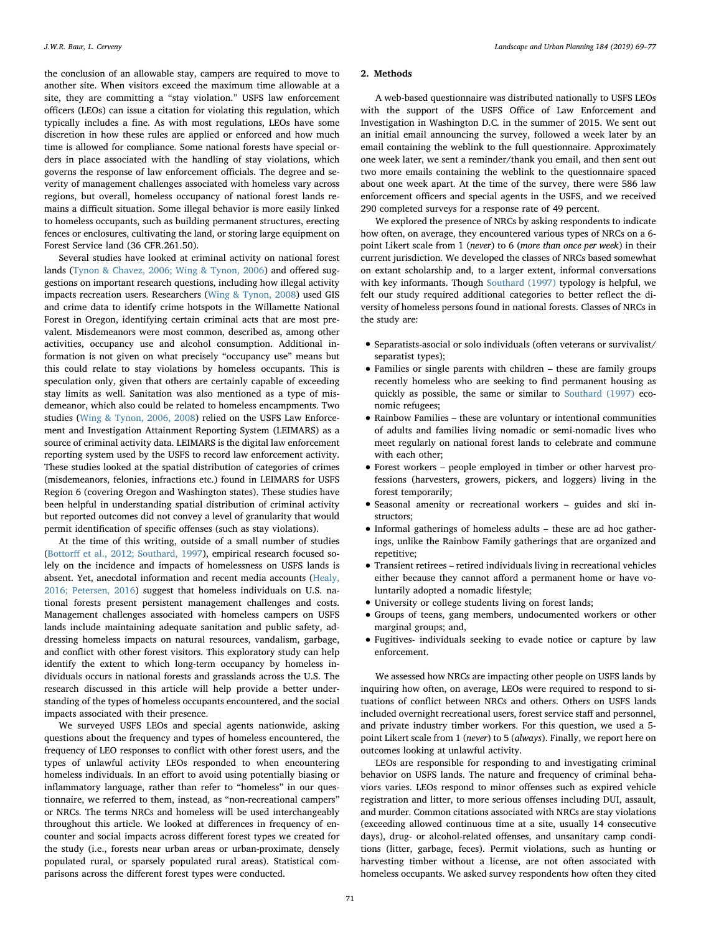the conclusion of an allowable stay, campers are required to move to another site. When visitors exceed the maximum time allowable at a site, they are committing a "stay violation." USFS law enforcement officers (LEOs) can issue a citation for violating this regulation, which typically includes a fine. As with most regulations, LEOs have some discretion in how these rules are applied or enforced and how much time is allowed for compliance. Some national forests have special orders in place associated with the handling of stay violations, which governs the response of law enforcement officials. The degree and severity of management challenges associated with homeless vary across regions, but overall, homeless occupancy of national forest lands remains a difficult situation. Some illegal behavior is more easily linked to homeless occupants, such as building permanent structures, erecting fences or enclosures, cultivating the land, or storing large equipment on Forest Service land (36 CFR.261.50).

Several studies have looked at criminal activity on national forest lands [\(Tynon & Chavez, 2006; Wing & Tynon, 2006\)](#page-8-27) and offered suggestions on important research questions, including how illegal activity impacts recreation users. Researchers ([Wing & Tynon, 2008\)](#page-8-28) used GIS and crime data to identify crime hotspots in the Willamette National Forest in Oregon, identifying certain criminal acts that are most prevalent. Misdemeanors were most common, described as, among other activities, occupancy use and alcohol consumption. Additional information is not given on what precisely "occupancy use" means but this could relate to stay violations by homeless occupants. This is speculation only, given that others are certainly capable of exceeding stay limits as well. Sanitation was also mentioned as a type of misdemeanor, which also could be related to homeless encampments. Two studies ([Wing & Tynon, 2006, 2008](#page-8-28)) relied on the USFS Law Enforcement and Investigation Attainment Reporting System (LEIMARS) as a source of criminal activity data. LEIMARS is the digital law enforcement reporting system used by the USFS to record law enforcement activity. These studies looked at the spatial distribution of categories of crimes (misdemeanors, felonies, infractions etc.) found in LEIMARS for USFS Region 6 (covering Oregon and Washington states). These studies have been helpful in understanding spatial distribution of criminal activity but reported outcomes did not convey a level of granularity that would permit identification of specific offenses (such as stay violations).

At the time of this writing, outside of a small number of studies (Bottorff [et al., 2012; Southard, 1997](#page-7-8)), empirical research focused solely on the incidence and impacts of homelessness on USFS lands is absent. Yet, anecdotal information and recent media accounts ([Healy,](#page-8-29) [2016; Petersen, 2016](#page-8-29)) suggest that homeless individuals on U.S. national forests present persistent management challenges and costs. Management challenges associated with homeless campers on USFS lands include maintaining adequate sanitation and public safety, addressing homeless impacts on natural resources, vandalism, garbage, and conflict with other forest visitors. This exploratory study can help identify the extent to which long-term occupancy by homeless individuals occurs in national forests and grasslands across the U.S. The research discussed in this article will help provide a better understanding of the types of homeless occupants encountered, and the social impacts associated with their presence.

We surveyed USFS LEOs and special agents nationwide, asking questions about the frequency and types of homeless encountered, the frequency of LEO responses to conflict with other forest users, and the types of unlawful activity LEOs responded to when encountering homeless individuals. In an effort to avoid using potentially biasing or inflammatory language, rather than refer to "homeless" in our questionnaire, we referred to them, instead, as "non-recreational campers" or NRCs. The terms NRCs and homeless will be used interchangeably throughout this article. We looked at differences in frequency of encounter and social impacts across different forest types we created for the study (i.e., forests near urban areas or urban-proximate, densely populated rural, or sparsely populated rural areas). Statistical comparisons across the different forest types were conducted.

# 2. Methods

A web-based questionnaire was distributed nationally to USFS LEOs with the support of the USFS Office of Law Enforcement and Investigation in Washington D.C. in the summer of 2015. We sent out an initial email announcing the survey, followed a week later by an email containing the weblink to the full questionnaire. Approximately one week later, we sent a reminder/thank you email, and then sent out two more emails containing the weblink to the questionnaire spaced about one week apart. At the time of the survey, there were 586 law enforcement officers and special agents in the USFS, and we received 290 completed surveys for a response rate of 49 percent.

We explored the presence of NRCs by asking respondents to indicate how often, on average, they encountered various types of NRCs on a 6 point Likert scale from 1 (never) to 6 (more than once per week) in their current jurisdiction. We developed the classes of NRCs based somewhat on extant scholarship and, to a larger extent, informal conversations with key informants. Though [Southard \(1997\)](#page-8-16) typology is helpful, we felt our study required additional categories to better reflect the diversity of homeless persons found in national forests. Classes of NRCs in the study are:

- Separatists-asocial or solo individuals (often veterans or survivalist/ separatist types);
- Families or single parents with children these are family groups recently homeless who are seeking to find permanent housing as quickly as possible, the same or similar to [Southard \(1997\)](#page-8-16) economic refugees;
- Rainbow Families these are voluntary or intentional communities of adults and families living nomadic or semi-nomadic lives who meet regularly on national forest lands to celebrate and commune with each other;
- Forest workers people employed in timber or other harvest professions (harvesters, growers, pickers, and loggers) living in the forest temporarily;
- Seasonal amenity or recreational workers guides and ski instructors;
- Informal gatherings of homeless adults these are ad hoc gatherings, unlike the Rainbow Family gatherings that are organized and repetitive;
- Transient retirees retired individuals living in recreational vehicles either because they cannot afford a permanent home or have voluntarily adopted a nomadic lifestyle;
- University or college students living on forest lands;
- Groups of teens, gang members, undocumented workers or other marginal groups; and,
- Fugitives- individuals seeking to evade notice or capture by law enforcement.

We assessed how NRCs are impacting other people on USFS lands by inquiring how often, on average, LEOs were required to respond to situations of conflict between NRCs and others. Others on USFS lands included overnight recreational users, forest service staff and personnel, and private industry timber workers. For this question, we used a 5 point Likert scale from 1 (never) to 5 (always). Finally, we report here on outcomes looking at unlawful activity.

LEOs are responsible for responding to and investigating criminal behavior on USFS lands. The nature and frequency of criminal behaviors varies. LEOs respond to minor offenses such as expired vehicle registration and litter, to more serious offenses including DUI, assault, and murder. Common citations associated with NRCs are stay violations (exceeding allowed continuous time at a site, usually 14 consecutive days), drug- or alcohol-related offenses, and unsanitary camp conditions (litter, garbage, feces). Permit violations, such as hunting or harvesting timber without a license, are not often associated with homeless occupants. We asked survey respondents how often they cited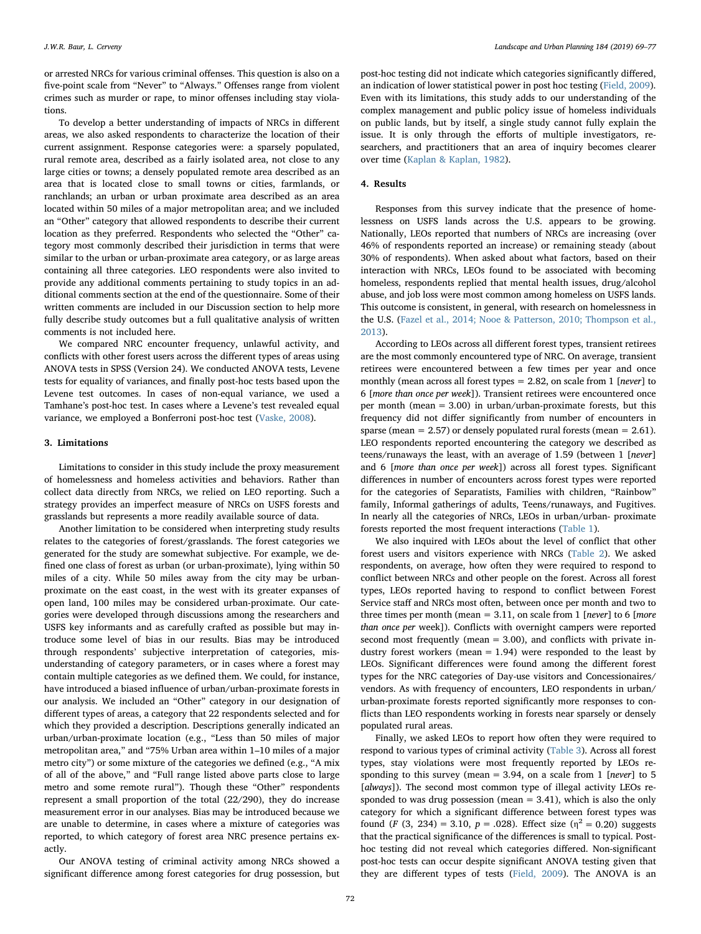or arrested NRCs for various criminal offenses. This question is also on a five-point scale from "Never" to "Always." Offenses range from violent crimes such as murder or rape, to minor offenses including stay violations.

To develop a better understanding of impacts of NRCs in different areas, we also asked respondents to characterize the location of their current assignment. Response categories were: a sparsely populated, rural remote area, described as a fairly isolated area, not close to any large cities or towns; a densely populated remote area described as an area that is located close to small towns or cities, farmlands, or ranchlands; an urban or urban proximate area described as an area located within 50 miles of a major metropolitan area; and we included an "Other" category that allowed respondents to describe their current location as they preferred. Respondents who selected the "Other" category most commonly described their jurisdiction in terms that were similar to the urban or urban-proximate area category, or as large areas containing all three categories. LEO respondents were also invited to provide any additional comments pertaining to study topics in an additional comments section at the end of the questionnaire. Some of their written comments are included in our Discussion section to help more fully describe study outcomes but a full qualitative analysis of written comments is not included here.

We compared NRC encounter frequency, unlawful activity, and conflicts with other forest users across the different types of areas using ANOVA tests in SPSS (Version 24). We conducted ANOVA tests, Levene tests for equality of variances, and finally post-hoc tests based upon the Levene test outcomes. In cases of non-equal variance, we used a Tamhane's post-hoc test. In cases where a Levene's test revealed equal variance, we employed a Bonferroni post-hoc test [\(Vaske, 2008\)](#page-8-30).

### 3. Limitations

Limitations to consider in this study include the proxy measurement of homelessness and homeless activities and behaviors. Rather than collect data directly from NRCs, we relied on LEO reporting. Such a strategy provides an imperfect measure of NRCs on USFS forests and grasslands but represents a more readily available source of data.

Another limitation to be considered when interpreting study results relates to the categories of forest/grasslands. The forest categories we generated for the study are somewhat subjective. For example, we defined one class of forest as urban (or urban-proximate), lying within 50 miles of a city. While 50 miles away from the city may be urbanproximate on the east coast, in the west with its greater expanses of open land, 100 miles may be considered urban-proximate. Our categories were developed through discussions among the researchers and USFS key informants and as carefully crafted as possible but may introduce some level of bias in our results. Bias may be introduced through respondents' subjective interpretation of categories, misunderstanding of category parameters, or in cases where a forest may contain multiple categories as we defined them. We could, for instance, have introduced a biased influence of urban/urban-proximate forests in our analysis. We included an "Other" category in our designation of different types of areas, a category that 22 respondents selected and for which they provided a description. Descriptions generally indicated an urban/urban-proximate location (e.g., "Less than 50 miles of major metropolitan area," and "75% Urban area within 1–10 miles of a major metro city") or some mixture of the categories we defined (e.g., "A mix of all of the above," and "Full range listed above parts close to large metro and some remote rural"). Though these "Other" respondents represent a small proportion of the total (22/290), they do increase measurement error in our analyses. Bias may be introduced because we are unable to determine, in cases where a mixture of categories was reported, to which category of forest area NRC presence pertains exactly.

Our ANOVA testing of criminal activity among NRCs showed a significant difference among forest categories for drug possession, but

post-hoc testing did not indicate which categories significantly differed, an indication of lower statistical power in post hoc testing ([Field, 2009](#page-7-15)). Even with its limitations, this study adds to our understanding of the complex management and public policy issue of homeless individuals on public lands, but by itself, a single study cannot fully explain the issue. It is only through the efforts of multiple investigators, researchers, and practitioners that an area of inquiry becomes clearer over time [\(Kaplan & Kaplan, 1982](#page-8-31)).

# 4. Results

Responses from this survey indicate that the presence of homelessness on USFS lands across the U.S. appears to be growing. Nationally, LEOs reported that numbers of NRCs are increasing (over 46% of respondents reported an increase) or remaining steady (about 30% of respondents). When asked about what factors, based on their interaction with NRCs, LEOs found to be associated with becoming homeless, respondents replied that mental health issues, drug/alcohol abuse, and job loss were most common among homeless on USFS lands. This outcome is consistent, in general, with research on homelessness in the U.S. [\(Fazel et al., 2014; Nooe & Patterson, 2010; Thompson et al.,](#page-7-3) [2013\)](#page-7-3).

According to LEOs across all different forest types, transient retirees are the most commonly encountered type of NRC. On average, transient retirees were encountered between a few times per year and once monthly (mean across all forest types = 2.82, on scale from 1 [never] to 6 [more than once per week]). Transient retirees were encountered once per month (mean = 3.00) in urban/urban-proximate forests, but this frequency did not differ significantly from number of encounters in sparse (mean  $= 2.57$ ) or densely populated rural forests (mean  $= 2.61$ ). LEO respondents reported encountering the category we described as teens/runaways the least, with an average of 1.59 (between 1 [never] and 6 [more than once per week]) across all forest types. Significant differences in number of encounters across forest types were reported for the categories of Separatists, Families with children, "Rainbow" family, Informal gatherings of adults, Teens/runaways, and Fugitives. In nearly all the categories of NRCs, LEOs in urban/urban- proximate forests reported the most frequent interactions [\(Table 1\)](#page-4-0).

We also inquired with LEOs about the level of conflict that other forest users and visitors experience with NRCs ([Table 2\)](#page-4-1). We asked respondents, on average, how often they were required to respond to conflict between NRCs and other people on the forest. Across all forest types, LEOs reported having to respond to conflict between Forest Service staff and NRCs most often, between once per month and two to three times per month (mean =  $3.11$ , on scale from 1 [never] to 6 [more than once per week]). Conflicts with overnight campers were reported second most frequently (mean = 3.00), and conflicts with private industry forest workers (mean  $= 1.94$ ) were responded to the least by LEOs. Significant differences were found among the different forest types for the NRC categories of Day-use visitors and Concessionaires/ vendors. As with frequency of encounters, LEO respondents in urban/ urban-proximate forests reported significantly more responses to conflicts than LEO respondents working in forests near sparsely or densely populated rural areas.

Finally, we asked LEOs to report how often they were required to respond to various types of criminal activity ([Table 3](#page-5-0)). Across all forest types, stay violations were most frequently reported by LEOs responding to this survey (mean = 3.94, on a scale from 1 [never] to 5 [always]). The second most common type of illegal activity LEOs responded to was drug possession (mean  $= 3.41$ ), which is also the only category for which a significant difference between forest types was found (F (3, 234) = 3.10,  $p = .028$ ). Effect size ( $\eta^2 = 0.20$ ) suggests that the practical significance of the differences is small to typical. Posthoc testing did not reveal which categories differed. Non-significant post-hoc tests can occur despite significant ANOVA testing given that they are different types of tests ([Field, 2009](#page-7-15)). The ANOVA is an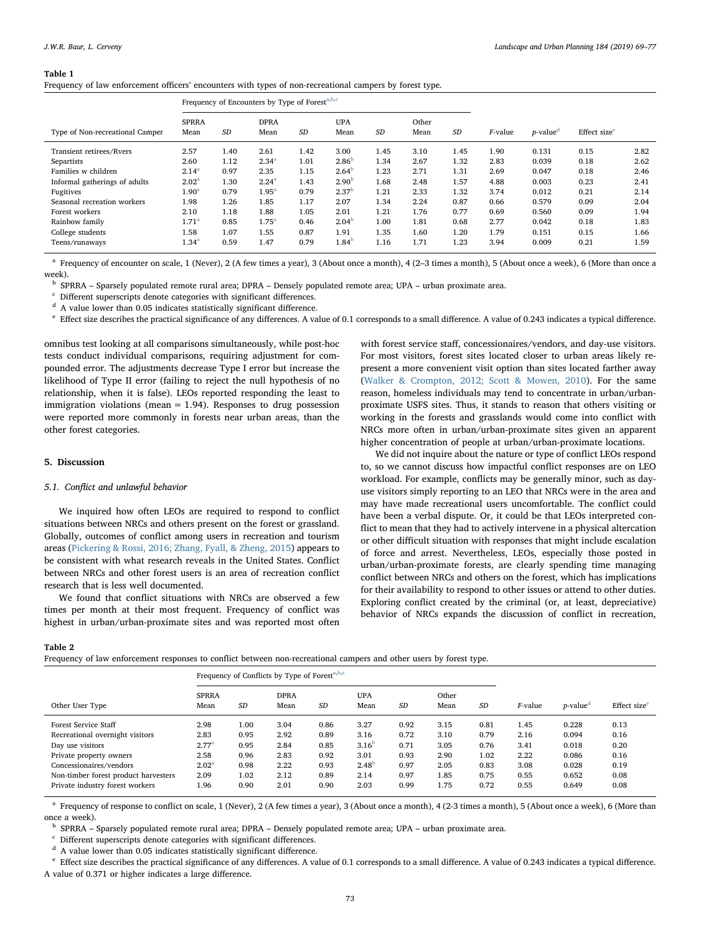#### <span id="page-4-0"></span>Table 1

Frequency of law enforcement officers' encounters with types of non-recreational campers by forest type.

|                                 | Frequency of Encounters by Type of Forest <sup>a,b,c</sup> |      |                     |           |                    |           |               |           |            |                              |                          |      |
|---------------------------------|------------------------------------------------------------|------|---------------------|-----------|--------------------|-----------|---------------|-----------|------------|------------------------------|--------------------------|------|
| Type of Non-recreational Camper | <b>SPRRA</b><br>Mean                                       | SD   | <b>DPRA</b><br>Mean | <b>SD</b> | <b>UPA</b><br>Mean | <b>SD</b> | Other<br>Mean | <b>SD</b> | $F$ -value | <i>p</i> -value <sup>d</sup> | Effect size <sup>e</sup> |      |
| Transient retirees/Rvers        | 2.57                                                       | 1.40 | 2.61                | 1.42      | 3.00               | 1.45      | 3.10          | 1.45      | 1.90       | 0.131                        | 0.15                     | 2.82 |
| Separtists                      | 2.60                                                       | 1.12 | $2.34^{a}$          | 1.01      | 2.86 <sup>b</sup>  | 1.34      | 2.67          | 1.32      | 2.83       | 0.039                        | 0.18                     | 2.62 |
| Families w children             | $2.14^{a}$                                                 | 0.97 | 2.35                | 1.15      | 2.64 <sup>b</sup>  | 1.23      | 2.71          | 1.31      | 2.69       | 0.047                        | 0.18                     | 2.46 |
| Informal gatherings of adults   | 2.02 <sup>a</sup>                                          | 1.30 | $2.24^{a}$          | 1.43      | 2.90 <sup>b</sup>  | 1.68      | 2.48          | 1.57      | 4.88       | 0.003                        | 0.23                     | 2.41 |
| Fugitives                       | $1.90^{\mathrm{a}}$                                        | 0.79 | $1.95^{\rm a}$      | 0.79      | 2.37 <sup>b</sup>  | 1.21      | 2.33          | 1.32      | 3.74       | 0.012                        | 0.21                     | 2.14 |
| Seasonal recreation workers     | 1.98                                                       | 1.26 | 1.85                | 1.17      | 2.07               | 1.34      | 2.24          | 0.87      | 0.66       | 0.579                        | 0.09                     | 2.04 |
| Forest workers                  | 2.10                                                       | 1.18 | 1.88                | 1.05      | 2.01               | 1.21      | 1.76          | 0.77      | 0.69       | 0.560                        | 0.09                     | 1.94 |
| Rainbow family                  | $1.71^{\rm a}$                                             | 0.85 | $1.75^{\circ}$      | 0.46      | 2.04 <sup>b</sup>  | 1.00      | 1.81          | 0.68      | 2.77       | 0.042                        | 0.18                     | 1.83 |
| College students                | 1.58                                                       | 1.07 | 1.55                | 0.87      | 1.91               | 1.35      | 1.60          | 1.20      | 1.79       | 0.151                        | 0.15                     | 1.66 |
| Teens/runaways                  | $1.34^{a}$                                                 | 0.59 | 1.47                | 0.79      | 1.84 <sup>b</sup>  | 1.16      | 1.71          | 1.23      | 3.94       | 0.009                        | 0.21                     | 1.59 |

<span id="page-4-2"></span><sup>a</sup> Frequency of encounter on scale, 1 (Never), 2 (A few times a year), 3 (About once a month), 4 (2-3 times a month), 5 (About once a week), 6 (More than once a week).

<span id="page-4-3"></span><sup>b</sup> SPRRA – Sparsely populated remote rural area; DPRA – Densely populated remote area; UPA – urban proximate area.

<span id="page-4-4"></span><sup>c</sup> Different superscripts denote categories with significant differences.

<span id="page-4-5"></span> $d$  A value lower than 0.05 indicates statistically significant difference.

<span id="page-4-6"></span><sup>e</sup> Effect size describes the practical significance of any differences. A value of 0.1 corresponds to a small difference. A value of 0.243 indicates a typical difference.

omnibus test looking at all comparisons simultaneously, while post-hoc tests conduct individual comparisons, requiring adjustment for compounded error. The adjustments decrease Type I error but increase the likelihood of Type II error (failing to reject the null hypothesis of no relationship, when it is false). LEOs reported responding the least to immigration violations (mean  $= 1.94$ ). Responses to drug possession were reported more commonly in forests near urban areas, than the other forest categories.

### 5. Discussion

#### 5.1. Conflict and unlawful behavior

We inquired how often LEOs are required to respond to conflict situations between NRCs and others present on the forest or grassland. Globally, outcomes of conflict among users in recreation and tourism areas ([Pickering & Rossi, 2016; Zhang, Fyall, & Zheng, 2015](#page-8-32)) appears to be consistent with what research reveals in the United States. Conflict between NRCs and other forest users is an area of recreation conflict research that is less well documented.

We found that conflict situations with NRCs are observed a few times per month at their most frequent. Frequency of conflict was highest in urban/urban-proximate sites and was reported most often

with forest service staff, concessionaires/vendors, and day-use visitors. For most visitors, forest sites located closer to urban areas likely represent a more convenient visit option than sites located farther away ([Walker & Crompton, 2012; Scott & Mowen, 2010](#page-8-33)). For the same reason, homeless individuals may tend to concentrate in urban/urbanproximate USFS sites. Thus, it stands to reason that others visiting or working in the forests and grasslands would come into conflict with NRCs more often in urban/urban-proximate sites given an apparent higher concentration of people at urban/urban-proximate locations.

We did not inquire about the nature or type of conflict LEOs respond to, so we cannot discuss how impactful conflict responses are on LEO workload. For example, conflicts may be generally minor, such as dayuse visitors simply reporting to an LEO that NRCs were in the area and may have made recreational users uncomfortable. The conflict could have been a verbal dispute. Or, it could be that LEOs interpreted conflict to mean that they had to actively intervene in a physical altercation or other difficult situation with responses that might include escalation of force and arrest. Nevertheless, LEOs, especially those posted in urban/urban-proximate forests, are clearly spending time managing conflict between NRCs and others on the forest, which has implications for their availability to respond to other issues or attend to other duties. Exploring conflict created by the criminal (or, at least, depreciative) behavior of NRCs expands the discussion of conflict in recreation,

#### <span id="page-4-1"></span>Table 2

Frequency of law enforcement responses to conflict between non-recreational campers and other users by forest type.

|                                      |                      |           | Frequency of Conflicts by Type of Forest <sup>a, b,c</sup> |           |                    |           |               |           |                 |                         |                          |
|--------------------------------------|----------------------|-----------|------------------------------------------------------------|-----------|--------------------|-----------|---------------|-----------|-----------------|-------------------------|--------------------------|
| Other User Type                      | <b>SPRRA</b><br>Mean | <b>SD</b> | <b>DPRA</b><br>Mean                                        | <b>SD</b> | <b>UPA</b><br>Mean | <b>SD</b> | Other<br>Mean | <b>SD</b> | <i>F</i> -value | $p$ -value <sup>d</sup> | Effect size <sup>e</sup> |
| Forest Service Staff                 | 2.98                 | 1.00      | 3.04                                                       | 0.86      | 3.27               | 0.92      | 3.15          | 0.81      | 1.45            | 0.228                   | 0.13                     |
| Recreational overnight visitors      | 2.83                 | 0.95      | 2.92                                                       | 0.89      | 3.16               | 0.72      | 3.10          | 0.79      | 2.16            | 0.094                   | 0.16                     |
| Day use visitors                     | 2.77 <sup>a</sup>    | 0.95      | 2.84                                                       | 0.85      | 3.16 <sup>b</sup>  | 0.71      | 3.05          | 0.76      | 3.41            | 0.018                   | 0.20                     |
| Private property owners              | 2.58                 | 0.96      | 2.83                                                       | 0.92      | 3.01               | 0.93      | 2.90          | 1.02      | 2.22            | 0.086                   | 0.16                     |
| Concessionaires/vendors              | 2.02 <sup>a</sup>    | 0.98      | 2.22                                                       | 0.93      | 2.48 <sup>b</sup>  | 0.97      | 2.05          | 0.83      | 3.08            | 0.028                   | 0.19                     |
| Non-timber forest product harvesters | 2.09                 | 1.02      | 2.12                                                       | 0.89      | 2.14               | 0.97      | 1.85          | 0.75      | 0.55            | 0.652                   | 0.08                     |
| Private industry forest workers      | 1.96                 | 0.90      | 2.01                                                       | 0.90      | 2.03               | 0.99      | 1.75          | 0.72      | 0.55            | 0.649                   | 0.08                     |

<span id="page-4-7"></span>Frequency of response to conflict on scale, 1 (Never), 2 (A few times a year), 3 (About once a month), 4 (2-3 times a month), 5 (About once a week), 6 (More than once a week).

<span id="page-4-8"></span><sup>b</sup> SPRRA – Sparsely populated remote rural area; DPRA – Densely populated remote area; UPA – urban proximate area.

<span id="page-4-9"></span> $\,^{\rm c}$  Different superscripts denote categories with significant differences.

<span id="page-4-10"></span> $d$  A value lower than 0.05 indicates statistically significant difference.

<span id="page-4-11"></span><sup>e</sup> Effect size describes the practical significance of any differences. A value of 0.1 corresponds to a small difference. A value of 0.243 indicates a typical difference. A value of 0.371 or higher indicates a large difference.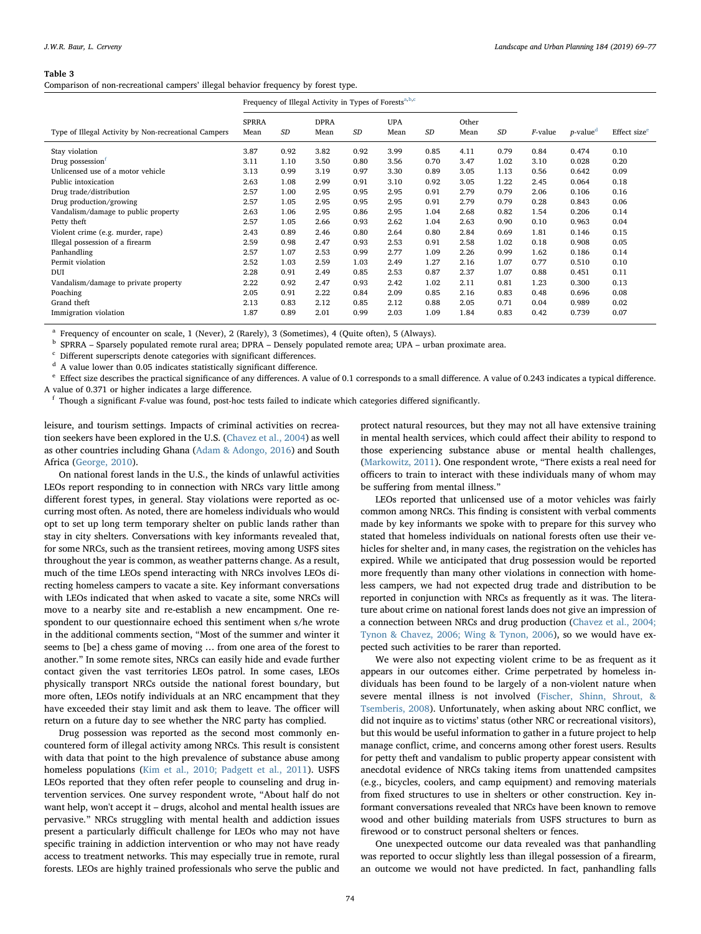#### <span id="page-5-0"></span>Table 3

Comparison of non-recreational campers' illegal behavior frequency by forest type.

|                                                      | Frequency of Illegal Activity in Types of Forests <sup>a,b,c</sup> |      |                     |      |                    |      |               |      |                 |                         |                          |
|------------------------------------------------------|--------------------------------------------------------------------|------|---------------------|------|--------------------|------|---------------|------|-----------------|-------------------------|--------------------------|
| Type of Illegal Activity by Non-recreational Campers | <b>SPRRA</b><br>Mean                                               | SD   | <b>DPRA</b><br>Mean | SD   | <b>UPA</b><br>Mean | SD   | Other<br>Mean | SD   | <i>F</i> -value | $p$ -value <sup>d</sup> | Effect size <sup>e</sup> |
| Stay violation                                       | 3.87                                                               | 0.92 | 3.82                | 0.92 | 3.99               | 0.85 | 4.11          | 0.79 | 0.84            | 0.474                   | 0.10                     |
| Drug possession                                      | 3.11                                                               | 1.10 | 3.50                | 0.80 | 3.56               | 0.70 | 3.47          | 1.02 | 3.10            | 0.028                   | 0.20                     |
| Unlicensed use of a motor vehicle                    | 3.13                                                               | 0.99 | 3.19                | 0.97 | 3.30               | 0.89 | 3.05          | 1.13 | 0.56            | 0.642                   | 0.09                     |
| Public intoxication                                  | 2.63                                                               | 1.08 | 2.99                | 0.91 | 3.10               | 0.92 | 3.05          | 1.22 | 2.45            | 0.064                   | 0.18                     |
| Drug trade/distribution                              | 2.57                                                               | 1.00 | 2.95                | 0.95 | 2.95               | 0.91 | 2.79          | 0.79 | 2.06            | 0.106                   | 0.16                     |
| Drug production/growing                              | 2.57                                                               | 1.05 | 2.95                | 0.95 | 2.95               | 0.91 | 2.79          | 0.79 | 0.28            | 0.843                   | 0.06                     |
| Vandalism/damage to public property                  | 2.63                                                               | 1.06 | 2.95                | 0.86 | 2.95               | 1.04 | 2.68          | 0.82 | 1.54            | 0.206                   | 0.14                     |
| Petty theft                                          | 2.57                                                               | 1.05 | 2.66                | 0.93 | 2.62               | 1.04 | 2.63          | 0.90 | 0.10            | 0.963                   | 0.04                     |
| Violent crime (e.g. murder, rape)                    | 2.43                                                               | 0.89 | 2.46                | 0.80 | 2.64               | 0.80 | 2.84          | 0.69 | 1.81            | 0.146                   | 0.15                     |
| Illegal possession of a firearm                      | 2.59                                                               | 0.98 | 2.47                | 0.93 | 2.53               | 0.91 | 2.58          | 1.02 | 0.18            | 0.908                   | 0.05                     |
| Panhandling                                          | 2.57                                                               | 1.07 | 2.53                | 0.99 | 2.77               | 1.09 | 2.26          | 0.99 | 1.62            | 0.186                   | 0.14                     |
| Permit violation                                     | 2.52                                                               | 1.03 | 2.59                | 1.03 | 2.49               | 1.27 | 2.16          | 1.07 | 0.77            | 0.510                   | 0.10                     |
| DUI                                                  | 2.28                                                               | 0.91 | 2.49                | 0.85 | 2.53               | 0.87 | 2.37          | 1.07 | 0.88            | 0.451                   | 0.11                     |
| Vandalism/damage to private property                 | 2.22                                                               | 0.92 | 2.47                | 0.93 | 2.42               | 1.02 | 2.11          | 0.81 | 1.23            | 0.300                   | 0.13                     |
| Poaching                                             | 2.05                                                               | 0.91 | 2.22                | 0.84 | 2.09               | 0.85 | 2.16          | 0.83 | 0.48            | 0.696                   | 0.08                     |
| Grand theft                                          | 2.13                                                               | 0.83 | 2.12                | 0.85 | 2.12               | 0.88 | 2.05          | 0.71 | 0.04            | 0.989                   | 0.02                     |
| Immigration violation                                | 1.87                                                               | 0.89 | 2.01                | 0.99 | 2.03               | 1.09 | 1.84          | 0.83 | 0.42            | 0.739                   | 0.07                     |

<span id="page-5-1"></span><sup>a</sup> Frequency of encounter on scale, 1 (Never), 2 (Rarely), 3 (Sometimes), 4 (Quite often), 5 (Always).

<span id="page-5-2"></span><sup>b</sup> SPRRA – Sparsely populated remote rural area; DPRA – Densely populated remote area; UPA – urban proximate area.

<span id="page-5-3"></span>Different superscripts denote categories with significant differences.

<span id="page-5-4"></span> $d$  A value lower than 0.05 indicates statistically significant difference.

<span id="page-5-5"></span><sup>e</sup> Effect size describes the practical significance of any differences. A value of 0.1 corresponds to a small difference. A value of 0.243 indicates a typical difference. A value of 0.371 or higher indicates a large difference.

<span id="page-5-6"></span> $f$  Though a significant F-value was found, post-hoc tests failed to indicate which categories differed significantly.

leisure, and tourism settings. Impacts of criminal activities on recreation seekers have been explored in the U.S. ([Chavez et al., 2004\)](#page-7-12) as well as other countries including Ghana ([Adam & Adongo, 2016\)](#page-7-16) and South Africa ([George, 2010](#page-8-24)).

On national forest lands in the U.S., the kinds of unlawful activities LEOs report responding to in connection with NRCs vary little among different forest types, in general. Stay violations were reported as occurring most often. As noted, there are homeless individuals who would opt to set up long term temporary shelter on public lands rather than stay in city shelters. Conversations with key informants revealed that, for some NRCs, such as the transient retirees, moving among USFS sites throughout the year is common, as weather patterns change. As a result, much of the time LEOs spend interacting with NRCs involves LEOs directing homeless campers to vacate a site. Key informant conversations with LEOs indicated that when asked to vacate a site, some NRCs will move to a nearby site and re-establish a new encampment. One respondent to our questionnaire echoed this sentiment when s/he wrote in the additional comments section, "Most of the summer and winter it seems to [be] a chess game of moving … from one area of the forest to another." In some remote sites, NRCs can easily hide and evade further contact given the vast territories LEOs patrol. In some cases, LEOs physically transport NRCs outside the national forest boundary, but more often, LEOs notify individuals at an NRC encampment that they have exceeded their stay limit and ask them to leave. The officer will return on a future day to see whether the NRC party has complied.

Drug possession was reported as the second most commonly encountered form of illegal activity among NRCs. This result is consistent with data that point to the high prevalence of substance abuse among homeless populations ([Kim et al., 2010; Padgett et al., 2011](#page-8-11)). USFS LEOs reported that they often refer people to counseling and drug intervention services. One survey respondent wrote, "About half do not want help, won't accept it – drugs, alcohol and mental health issues are pervasive." NRCs struggling with mental health and addiction issues present a particularly difficult challenge for LEOs who may not have specific training in addiction intervention or who may not have ready access to treatment networks. This may especially true in remote, rural forests. LEOs are highly trained professionals who serve the public and

protect natural resources, but they may not all have extensive training in mental health services, which could affect their ability to respond to those experiencing substance abuse or mental health challenges, ([Markowitz, 2011\)](#page-8-34). One respondent wrote, "There exists a real need for officers to train to interact with these individuals many of whom may be suffering from mental illness."

LEOs reported that unlicensed use of a motor vehicles was fairly common among NRCs. This finding is consistent with verbal comments made by key informants we spoke with to prepare for this survey who stated that homeless individuals on national forests often use their vehicles for shelter and, in many cases, the registration on the vehicles has expired. While we anticipated that drug possession would be reported more frequently than many other violations in connection with homeless campers, we had not expected drug trade and distribution to be reported in conjunction with NRCs as frequently as it was. The literature about crime on national forest lands does not give an impression of a connection between NRCs and drug production ([Chavez et al., 2004;](#page-7-12) [Tynon & Chavez, 2006; Wing & Tynon, 2006](#page-7-12)), so we would have expected such activities to be rarer than reported.

We were also not expecting violent crime to be as frequent as it appears in our outcomes either. Crime perpetrated by homeless individuals has been found to be largely of a non-violent nature when severe mental illness is not involved ([Fischer, Shinn, Shrout, &](#page-7-17) [Tsemberis, 2008](#page-7-17)). Unfortunately, when asking about NRC conflict, we did not inquire as to victims' status (other NRC or recreational visitors), but this would be useful information to gather in a future project to help manage conflict, crime, and concerns among other forest users. Results for petty theft and vandalism to public property appear consistent with anecdotal evidence of NRCs taking items from unattended campsites (e.g., bicycles, coolers, and camp equipment) and removing materials from fixed structures to use in shelters or other construction. Key informant conversations revealed that NRCs have been known to remove wood and other building materials from USFS structures to burn as firewood or to construct personal shelters or fences.

One unexpected outcome our data revealed was that panhandling was reported to occur slightly less than illegal possession of a firearm, an outcome we would not have predicted. In fact, panhandling falls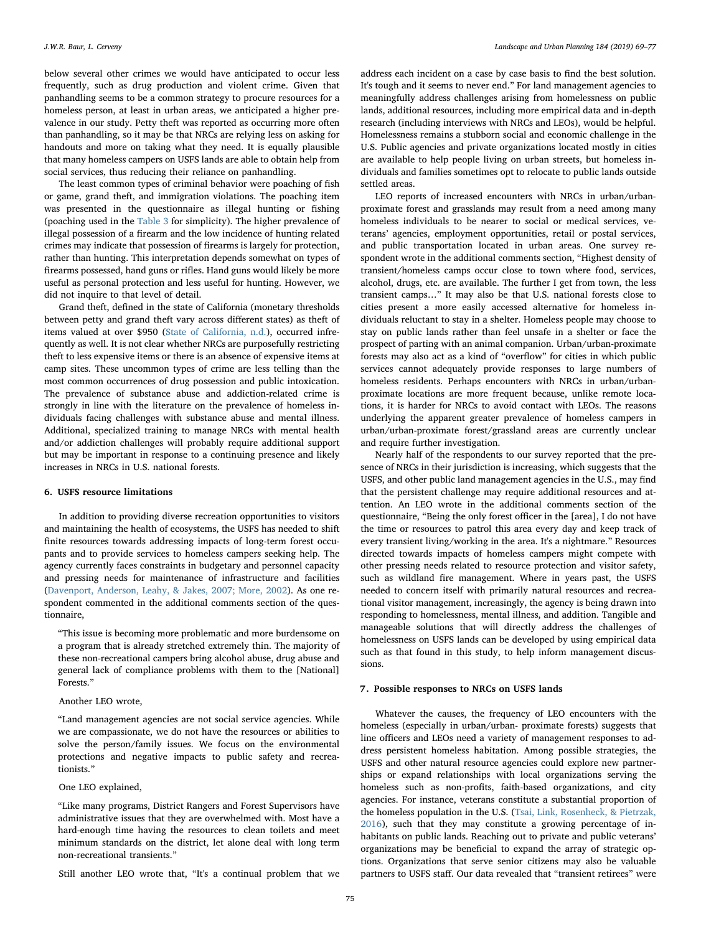below several other crimes we would have anticipated to occur less frequently, such as drug production and violent crime. Given that panhandling seems to be a common strategy to procure resources for a homeless person, at least in urban areas, we anticipated a higher prevalence in our study. Petty theft was reported as occurring more often than panhandling, so it may be that NRCs are relying less on asking for handouts and more on taking what they need. It is equally plausible that many homeless campers on USFS lands are able to obtain help from social services, thus reducing their reliance on panhandling.

The least common types of criminal behavior were poaching of fish or game, grand theft, and immigration violations. The poaching item was presented in the questionnaire as illegal hunting or fishing (poaching used in the [Table 3](#page-5-0) for simplicity). The higher prevalence of illegal possession of a firearm and the low incidence of hunting related crimes may indicate that possession of firearms is largely for protection, rather than hunting. This interpretation depends somewhat on types of firearms possessed, hand guns or rifles. Hand guns would likely be more useful as personal protection and less useful for hunting. However, we did not inquire to that level of detail.

Grand theft, defined in the state of California (monetary thresholds between petty and grand theft vary across different states) as theft of items valued at over \$950 ([State of California, n.d.](#page-8-35)), occurred infrequently as well. It is not clear whether NRCs are purposefully restricting theft to less expensive items or there is an absence of expensive items at camp sites. These uncommon types of crime are less telling than the most common occurrences of drug possession and public intoxication. The prevalence of substance abuse and addiction-related crime is strongly in line with the literature on the prevalence of homeless individuals facing challenges with substance abuse and mental illness. Additional, specialized training to manage NRCs with mental health and/or addiction challenges will probably require additional support but may be important in response to a continuing presence and likely increases in NRCs in U.S. national forests.

### 6. USFS resource limitations

In addition to providing diverse recreation opportunities to visitors and maintaining the health of ecosystems, the USFS has needed to shift finite resources towards addressing impacts of long-term forest occupants and to provide services to homeless campers seeking help. The agency currently faces constraints in budgetary and personnel capacity and pressing needs for maintenance of infrastructure and facilities ([Davenport, Anderson, Leahy, & Jakes, 2007; More, 2002](#page-7-18)). As one respondent commented in the additional comments section of the questionnaire,

"This issue is becoming more problematic and more burdensome on a program that is already stretched extremely thin. The majority of these non-recreational campers bring alcohol abuse, drug abuse and general lack of compliance problems with them to the [National] Forests."

# Another LEO wrote,

"Land management agencies are not social service agencies. While we are compassionate, we do not have the resources or abilities to solve the person/family issues. We focus on the environmental protections and negative impacts to public safety and recreationists."

# One LEO explained,

"Like many programs, District Rangers and Forest Supervisors have administrative issues that they are overwhelmed with. Most have a hard-enough time having the resources to clean toilets and meet minimum standards on the district, let alone deal with long term non-recreational transients."

Still another LEO wrote that, "It's a continual problem that we

address each incident on a case by case basis to find the best solution. It's tough and it seems to never end." For land management agencies to meaningfully address challenges arising from homelessness on public lands, additional resources, including more empirical data and in-depth research (including interviews with NRCs and LEOs), would be helpful. Homelessness remains a stubborn social and economic challenge in the U.S. Public agencies and private organizations located mostly in cities are available to help people living on urban streets, but homeless individuals and families sometimes opt to relocate to public lands outside settled areas.

LEO reports of increased encounters with NRCs in urban/urbanproximate forest and grasslands may result from a need among many homeless individuals to be nearer to social or medical services, veterans' agencies, employment opportunities, retail or postal services, and public transportation located in urban areas. One survey respondent wrote in the additional comments section, "Highest density of transient/homeless camps occur close to town where food, services, alcohol, drugs, etc. are available. The further I get from town, the less transient camps…" It may also be that U.S. national forests close to cities present a more easily accessed alternative for homeless individuals reluctant to stay in a shelter. Homeless people may choose to stay on public lands rather than feel unsafe in a shelter or face the prospect of parting with an animal companion. Urban/urban-proximate forests may also act as a kind of "overflow" for cities in which public services cannot adequately provide responses to large numbers of homeless residents. Perhaps encounters with NRCs in urban/urbanproximate locations are more frequent because, unlike remote locations, it is harder for NRCs to avoid contact with LEOs. The reasons underlying the apparent greater prevalence of homeless campers in urban/urban-proximate forest/grassland areas are currently unclear and require further investigation.

Nearly half of the respondents to our survey reported that the presence of NRCs in their jurisdiction is increasing, which suggests that the USFS, and other public land management agencies in the U.S., may find that the persistent challenge may require additional resources and attention. An LEO wrote in the additional comments section of the questionnaire, "Being the only forest officer in the [area], I do not have the time or resources to patrol this area every day and keep track of every transient living/working in the area. It's a nightmare." Resources directed towards impacts of homeless campers might compete with other pressing needs related to resource protection and visitor safety, such as wildland fire management. Where in years past, the USFS needed to concern itself with primarily natural resources and recreational visitor management, increasingly, the agency is being drawn into responding to homelessness, mental illness, and addition. Tangible and manageable solutions that will directly address the challenges of homelessness on USFS lands can be developed by using empirical data such as that found in this study, to help inform management discussions.

# 7. Possible responses to NRCs on USFS lands

Whatever the causes, the frequency of LEO encounters with the homeless (especially in urban/urban- proximate forests) suggests that line officers and LEOs need a variety of management responses to address persistent homeless habitation. Among possible strategies, the USFS and other natural resource agencies could explore new partnerships or expand relationships with local organizations serving the homeless such as non-profits, faith-based organizations, and city agencies. For instance, veterans constitute a substantial proportion of the homeless population in the U.S. ([Tsai, Link, Rosenheck, & Pietrzak,](#page-8-36) [2016\)](#page-8-36), such that they may constitute a growing percentage of inhabitants on public lands. Reaching out to private and public veterans' organizations may be beneficial to expand the array of strategic options. Organizations that serve senior citizens may also be valuable partners to USFS staff. Our data revealed that "transient retirees" were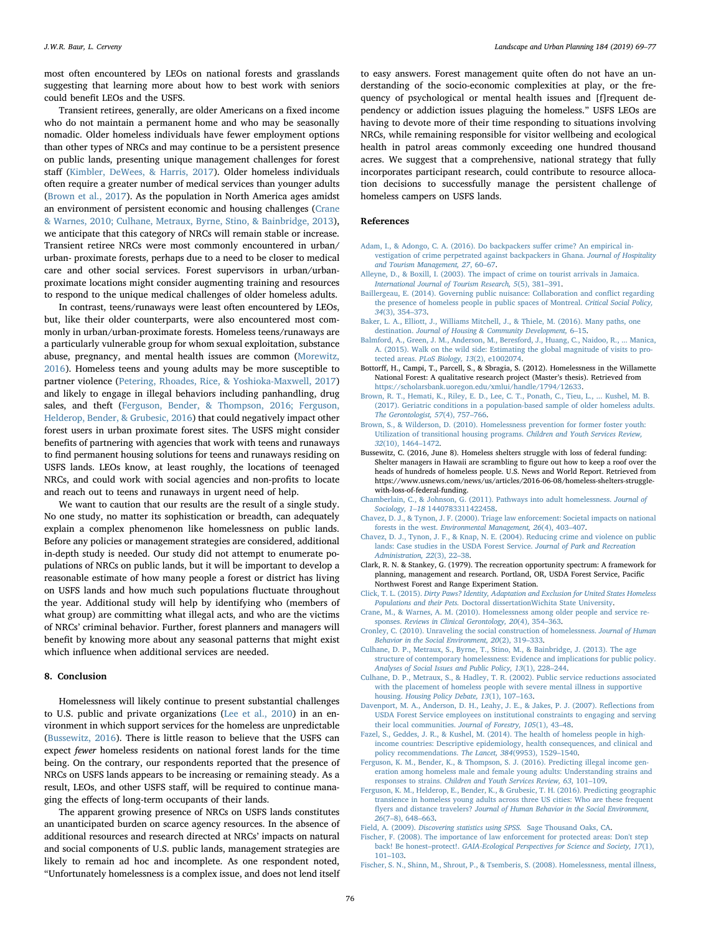most often encountered by LEOs on national forests and grasslands suggesting that learning more about how to best work with seniors could benefit LEOs and the USFS.

Transient retirees, generally, are older Americans on a fixed income who do not maintain a permanent home and who may be seasonally nomadic. Older homeless individuals have fewer employment options than other types of NRCs and may continue to be a persistent presence on public lands, presenting unique management challenges for forest staff [\(Kimbler, DeWees, & Harris, 2017\)](#page-8-37). Older homeless individuals often require a greater number of medical services than younger adults ([Brown et al., 2017](#page-7-19)). As the population in North America ages amidst an environment of persistent economic and housing challenges [\(Crane](#page-7-20) [& Warnes, 2010; Culhane, Metraux, Byrne, Stino, & Bainbridge, 2013](#page-7-20)), we anticipate that this category of NRCs will remain stable or increase. Transient retiree NRCs were most commonly encountered in urban/ urban- proximate forests, perhaps due to a need to be closer to medical care and other social services. Forest supervisors in urban/urbanproximate locations might consider augmenting training and resources to respond to the unique medical challenges of older homeless adults.

In contrast, teens/runaways were least often encountered by LEOs, but, like their older counterparts, were also encountered most commonly in urban/urban-proximate forests. Homeless teens/runaways are a particularly vulnerable group for whom sexual exploitation, substance abuse, pregnancy, and mental health issues are common [\(Morewitz,](#page-8-38) [2016\)](#page-8-38). Homeless teens and young adults may be more susceptible to partner violence [\(Petering, Rhoades, Rice, & Yoshioka-Maxwell, 2017\)](#page-8-39) and likely to engage in illegal behaviors including panhandling, drug sales, and theft ([Ferguson, Bender, & Thompson, 2016; Ferguson,](#page-7-21) [Helderop, Bender, & Grubesic, 2016](#page-7-21)) that could negatively impact other forest users in urban proximate forest sites. The USFS might consider benefits of partnering with agencies that work with teens and runaways to find permanent housing solutions for teens and runaways residing on USFS lands. LEOs know, at least roughly, the locations of teenaged NRCs, and could work with social agencies and non-profits to locate and reach out to teens and runaways in urgent need of help.

We want to caution that our results are the result of a single study. No one study, no matter its sophistication or breadth, can adequately explain a complex phenomenon like homelessness on public lands. Before any policies or management strategies are considered, additional in-depth study is needed. Our study did not attempt to enumerate populations of NRCs on public lands, but it will be important to develop a reasonable estimate of how many people a forest or district has living on USFS lands and how much such populations fluctuate throughout the year. Additional study will help by identifying who (members of what group) are committing what illegal acts, and who are the victims of NRCs' criminal behavior. Further, forest planners and managers will benefit by knowing more about any seasonal patterns that might exist which influence when additional services are needed.

#### 8. Conclusion

Homelessness will likely continue to present substantial challenges to U.S. public and private organizations [\(Lee et al., 2010\)](#page-8-3) in an environment in which support services for the homeless are unpredictable ([Bussewitz, 2016\)](#page-7-22). There is little reason to believe that the USFS can expect fewer homeless residents on national forest lands for the time being. On the contrary, our respondents reported that the presence of NRCs on USFS lands appears to be increasing or remaining steady. As a result, LEOs, and other USFS staff, will be required to continue managing the effects of long-term occupants of their lands.

The apparent growing presence of NRCs on USFS lands constitutes an unanticipated burden on scarce agency resources. In the absence of additional resources and research directed at NRCs' impacts on natural and social components of U.S. public lands, management strategies are likely to remain ad hoc and incomplete. As one respondent noted, "Unfortunately homelessness is a complex issue, and does not lend itself

to easy answers. Forest management quite often do not have an understanding of the socio-economic complexities at play, or the frequency of psychological or mental health issues and [f]requent dependency or addiction issues plaguing the homeless." USFS LEOs are having to devote more of their time responding to situations involving NRCs, while remaining responsible for visitor wellbeing and ecological health in patrol areas commonly exceeding one hundred thousand acres. We suggest that a comprehensive, national strategy that fully incorporates participant research, could contribute to resource allocation decisions to successfully manage the persistent challenge of homeless campers on USFS lands.

#### References

- <span id="page-7-16"></span>[Adam, I., & Adongo, C. A. \(2016\). Do backpackers su](http://refhub.elsevier.com/S0169-2046(18)31416-6/h0005)ffer crime? An empirical in[vestigation of crime perpetrated against backpackers in Ghana.](http://refhub.elsevier.com/S0169-2046(18)31416-6/h0005) Journal of Hospitality [and Tourism Management, 27](http://refhub.elsevier.com/S0169-2046(18)31416-6/h0005), 60–67.
- <span id="page-7-10"></span>[Alleyne, D., & Boxill, I. \(2003\). The impact of crime on tourist arrivals in Jamaica.](http://refhub.elsevier.com/S0169-2046(18)31416-6/h0010) [International Journal of Tourism Research, 5](http://refhub.elsevier.com/S0169-2046(18)31416-6/h0010)(5), 381–391.
- <span id="page-7-4"></span>[Baillergeau, E. \(2014\). Governing public nuisance: Collaboration and con](http://refhub.elsevier.com/S0169-2046(18)31416-6/h0015)flict regarding [the presence of homeless people in public spaces of Montreal.](http://refhub.elsevier.com/S0169-2046(18)31416-6/h0015) Critical Social Policy, 34[\(3\), 354](http://refhub.elsevier.com/S0169-2046(18)31416-6/h0015)–373.
- <span id="page-7-0"></span>[Baker, L. A., Elliott, J., Williams Mitchell, J., & Thiele, M. \(2016\). Many paths, one](http://refhub.elsevier.com/S0169-2046(18)31416-6/h0020) destination. [Journal of Housing & Community Development,](http://refhub.elsevier.com/S0169-2046(18)31416-6/h0020) 6–15.
- <span id="page-7-9"></span>[Balmford, A., Green, J. M., Anderson, M., Beresford, J., Huang, C., Naidoo, R., ... Manica,](http://refhub.elsevier.com/S0169-2046(18)31416-6/h0025) [A. \(2015\). Walk on the wild side: Estimating the global magnitude of visits to pro](http://refhub.elsevier.com/S0169-2046(18)31416-6/h0025)tected areas. [PLoS Biology, 13](http://refhub.elsevier.com/S0169-2046(18)31416-6/h0025)(2), e1002074.
- <span id="page-7-8"></span>Bottorff, H., Campi, T., Parcell, S., & Sbragia, S. (2012). Homelessness in the Willamette National Forest: A qualitative research project (Master's thesis). Retrieved from <https://scholarsbank.uoregon.edu/xmlui/handle/1794/12633>.
- <span id="page-7-19"></span>[Brown, R. T., Hemati, K., Riley, E. D., Lee, C. T., Ponath, C., Tieu, L., ... Kushel, M. B.](http://refhub.elsevier.com/S0169-2046(18)31416-6/h0035) [\(2017\). Geriatric conditions in a population-based sample of older homeless adults.](http://refhub.elsevier.com/S0169-2046(18)31416-6/h0035) [The Gerontologist, 57](http://refhub.elsevier.com/S0169-2046(18)31416-6/h0035)(4), 757–766.
- <span id="page-7-6"></span>[Brown, S., & Wilderson, D. \(2010\). Homelessness prevention for former foster youth:](http://refhub.elsevier.com/S0169-2046(18)31416-6/h0040) [Utilization of transitional housing programs.](http://refhub.elsevier.com/S0169-2046(18)31416-6/h0040) Children and Youth Services Review, 32[\(10\), 1464](http://refhub.elsevier.com/S0169-2046(18)31416-6/h0040)–1472.
- <span id="page-7-22"></span>Bussewitz, C. (2016, June 8). Homeless shelters struggle with loss of federal funding: Shelter managers in Hawaii are scrambling to figure out how to keep a roof over the heads of hundreds of homeless people. U.S. News and World Report. Retrieved from https://www.usnews.com/news/us/articles/2016-06-08/homeless-shelters-strugglewith-loss-of-federal-funding.
- <span id="page-7-5"></span>[Chamberlain, C., & Johnson, G. \(2011\). Pathways into adult homelessness.](http://refhub.elsevier.com/S0169-2046(18)31416-6/h0050) Journal of Sociology, 1–18 [1440783311422458.](http://refhub.elsevier.com/S0169-2046(18)31416-6/h0050)
- <span id="page-7-11"></span>[Chavez, D. J., & Tynon, J. F. \(2000\). Triage law enforcement: Societal impacts on national](http://refhub.elsevier.com/S0169-2046(18)31416-6/h0055) forests in the west. [Environmental Management, 26](http://refhub.elsevier.com/S0169-2046(18)31416-6/h0055)(4), 403–407.
- <span id="page-7-12"></span>[Chavez, D. J., Tynon, J. F., & Knap, N. E. \(2004\). Reducing crime and violence on public](http://refhub.elsevier.com/S0169-2046(18)31416-6/h0060) [lands: Case studies in the USDA Forest Service.](http://refhub.elsevier.com/S0169-2046(18)31416-6/h0060) Journal of Park and Recreation [Administration, 22](http://refhub.elsevier.com/S0169-2046(18)31416-6/h0060)(3), 22–38.
- <span id="page-7-14"></span>Clark, R. N. & Stankey, G. (1979). The recreation opportunity spectrum: A framework for planning, management and research. Portland, OR, USDA Forest Service, Pacific Northwest Forest and Range Experiment Station.
- <span id="page-7-7"></span>Click, T. L. (2015). [Dirty Paws? Identity, Adaptation and Exclusion for United States Homeless](http://refhub.elsevier.com/S0169-2046(18)31416-6/h0070) Populations and their Pets. [Doctoral dissertationWichita State University.](http://refhub.elsevier.com/S0169-2046(18)31416-6/h0070)
- <span id="page-7-20"></span>[Crane, M., & Warnes, A. M. \(2010\). Homelessness among older people and service re](http://refhub.elsevier.com/S0169-2046(18)31416-6/h0075)sponses. Reviews [in Clinical Gerontology, 20](http://refhub.elsevier.com/S0169-2046(18)31416-6/h0075)(4), 354–363.
- <span id="page-7-2"></span>[Cronley, C. \(2010\). Unraveling the social construction of homelessness.](http://refhub.elsevier.com/S0169-2046(18)31416-6/h0080) Journal of Human [Behavior in the Social Environment, 20](http://refhub.elsevier.com/S0169-2046(18)31416-6/h0080)(2), 319–333.
- [Culhane, D. P., Metraux, S., Byrne, T., Stino, M., & Bainbridge, J. \(2013\). The age](http://refhub.elsevier.com/S0169-2046(18)31416-6/h0085) [structure of contemporary homelessness: Evidence and implications for public policy.](http://refhub.elsevier.com/S0169-2046(18)31416-6/h0085) [Analyses of Social Issues and Public Policy, 13](http://refhub.elsevier.com/S0169-2046(18)31416-6/h0085)(1), 228–244.
- <span id="page-7-1"></span>[Culhane, D. P., Metraux, S., & Hadley, T. R. \(2002\). Public service reductions associated](http://refhub.elsevier.com/S0169-2046(18)31416-6/h0090) [with the placement of homeless people with severe mental illness in supportive](http://refhub.elsevier.com/S0169-2046(18)31416-6/h0090) housing. [Housing Policy Debate, 13](http://refhub.elsevier.com/S0169-2046(18)31416-6/h0090)(1), 107–163.
- <span id="page-7-18"></span>[Davenport, M. A., Anderson, D. H., Leahy, J. E., & Jakes, P. J. \(2007\). Re](http://refhub.elsevier.com/S0169-2046(18)31416-6/h0095)flections from [USDA Forest Service employees on institutional constraints to engaging and serving](http://refhub.elsevier.com/S0169-2046(18)31416-6/h0095) [their local communities.](http://refhub.elsevier.com/S0169-2046(18)31416-6/h0095) Journal of Forestry, 105(1), 43–48.
- <span id="page-7-3"></span>[Fazel, S., Geddes, J. R., & Kushel, M. \(2014\). The health of homeless people in high](http://refhub.elsevier.com/S0169-2046(18)31416-6/h0100)[income countries: Descriptive epidemiology, health consequences, and clinical and](http://refhub.elsevier.com/S0169-2046(18)31416-6/h0100) [policy recommendations.](http://refhub.elsevier.com/S0169-2046(18)31416-6/h0100) The Lancet, 384(9953), 1529–1540.
- <span id="page-7-21"></span>[Ferguson, K. M., Bender, K., & Thompson, S. J. \(2016\). Predicting illegal income gen](http://refhub.elsevier.com/S0169-2046(18)31416-6/h0105)[eration among homeless male and female young adults: Understanding strains and](http://refhub.elsevier.com/S0169-2046(18)31416-6/h0105) responses to strains. [Children and Youth Services Review, 63](http://refhub.elsevier.com/S0169-2046(18)31416-6/h0105), 101–109.
- [Ferguson, K. M., Helderop, E., Bender, K., & Grubesic, T. H. \(2016\). Predicting geographic](http://refhub.elsevier.com/S0169-2046(18)31416-6/h0110) [transience in homeless young adults across three US cities: Who are these frequent](http://refhub.elsevier.com/S0169-2046(18)31416-6/h0110) flyers and distance travelers? [Journal of Human Behavior in the Social Environment,](http://refhub.elsevier.com/S0169-2046(18)31416-6/h0110) 26(7–[8\), 648](http://refhub.elsevier.com/S0169-2046(18)31416-6/h0110)–663.
- <span id="page-7-15"></span>Field, A. (2009). [Discovering statistics using SPSS.](http://refhub.elsevier.com/S0169-2046(18)31416-6/h0115) Sage Thousand Oaks, CA.
- <span id="page-7-13"></span>[Fischer, F. \(2008\). The importance of law enforcement for protected areas: Don't step](http://refhub.elsevier.com/S0169-2046(18)31416-6/h0120) back! Be honest-protect!. [GAIA-Ecological Perspectives for Science and Society, 17](http://refhub.elsevier.com/S0169-2046(18)31416-6/h0120)(1), 101–[103](http://refhub.elsevier.com/S0169-2046(18)31416-6/h0120).
- <span id="page-7-17"></span>[Fischer, S. N., Shinn, M., Shrout, P., & Tsemberis, S. \(2008\). Homelessness, mental illness,](http://refhub.elsevier.com/S0169-2046(18)31416-6/h0125)